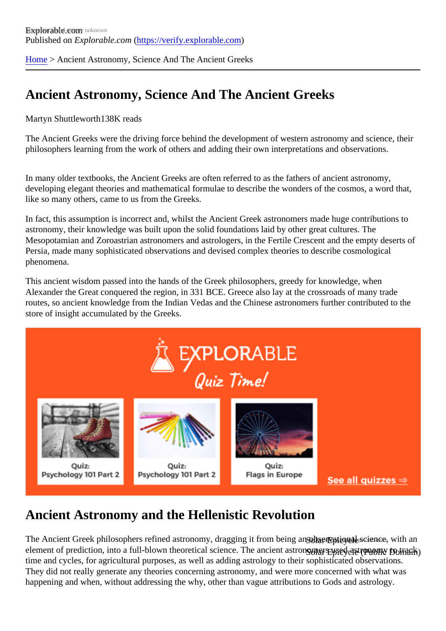[Home](https://verify.explorable.com/) > Ancient Astronomy, Science And The Ancient Greeks

## Ancient Astronomy, Science And The Ancient Greeks

Martyn Shuttleworth38K reads

The Ancient Greeks were the driving force behind the development of western astronomy and science, the philosophers learning from the work of others and adding their own interpretations and observations.

In many older textbooks, the Ancient Greeks are often referred to as the fathers of ancient astronomy, developing elegant theories and mathematical formulae to describe the wonders of the cosmos, a word th like so many others, came to us from the Greeks.

In fact, this assumption is incorrect and, whilst the Ancient Greek astronomers made huge contributions to astronomy, their knowledge was built upon the solid foundations laid by other great cultures. The Mesopotamian and Zoroastrian astronomers and astrologers, in the Fertile Crescent and the empty desert Persia, made many sophisticated observations and devised complex theories to describe cosmological phenomena.

This ancient wisdom passed into the hands of the Greek philosophers, greedy for knowledge, when Alexander the Great conquered the region, in 331 BCE. Greece also lay at the crossroads of many trade routes, so ancient knowledge from the Indian Vedas and the Chinese astronomers further contributed to th store of insight accumulated by the Greeks.

#### Ancient Astronomy and the Hellenistic Revolution

The Ancient Greek philosophers refined astronomy, dragging it from be**ing an observational s**cience, with a element of prediction, into a full-blown theoretical science. The ancient **ദ്രേശ്ദ്രഘ്പ്രദ്രേശിക്കുന്നുവെന്റ**െ tra time and cycles, for agricultural purposes, as well as adding astrology to their sophisticated observations. They did not really generate any theories concerning astronomy, and were more concerned with what was happening and when, without addressing the why, other than vague attributions to Gods and astrology.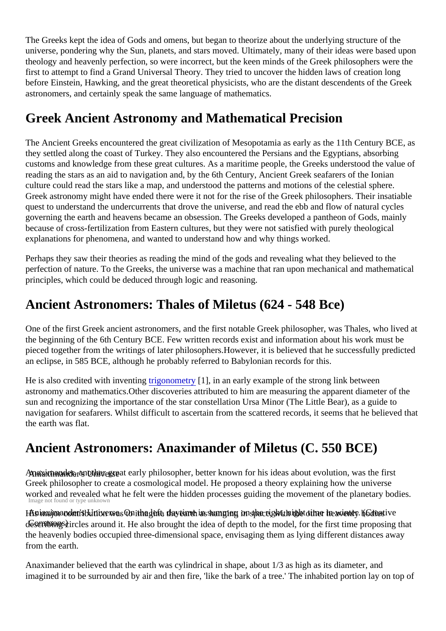The Greeks kept the idea of Gods and omens, but began to theorize about the underlying structure of the universe, pondering why the Sun, planets, and stars moved. Ultimately, many of their ideas were based up theology and heavenly perfection, so were incorrect, but the keen minds of the Greek philosophers were the first to attempt to find a Grand Universal Theory. They tried to uncover the hidden laws of creation long before Einstein, Hawking, and the great theoretical physicists, who are the distant descendents of the Gre astronomers, and certainly speak the same language of mathematics.

#### Greek Ancient Astronomy and Mathematical Precision

The Ancient Greeks encountered the great civilization of Mesopotamia as early as the 11th Century BCE, they settled along the coast of Turkey. They also encountered the Persians and the Egyptians, absorbing customs and knowledge from these great cultures. As a maritime people, the Greeks understood the value reading the stars as an aid to navigation and, by the 6th Century, Ancient Greek seafarers of the Ionian culture could read the stars like a map, and understood the patterns and motions of the celestial sphere. Greek astronomy might have ended there were it not for the rise of the Greek philosophers. Their insatiab quest to understand the undercurrents that drove the universe, and read the ebb and flow of natural cycles governing the earth and heavens became an obsession. The Greeks developed a pantheon of Gods, main because of cross-fertilization from Eastern cultures, but they were not satisfied with purely theological explanations for phenomena, and wanted to understand how and why things worked.

Perhaps they saw their theories as reading the mind of the gods and revealing what they believed to the perfection of nature. To the Greeks, the universe was a machine that ran upon mechanical and mathemat principles, which could be deduced through logic and reasoning.

### Ancient Astronomers: Thales of Miletus (624 - 548 Bce)

One of the first Greek ancient astronomers, and the first notable Greek philosopher, was Thales, who lived the beginning of the 6th Century BCE. Few written records exist and information about his work must be pieced together from the writings of later philosophers. However, it is believed that he successfully predicte an eclipse, in 585 BCE, although he probably referred to Babylonian records for this.

He is also credited with inventing gonometry [1], in an early example of the strong link between astronomy and mathematics. Other discoveries attributed to him are measuring the apparent diameter of the sun and recognizing the importance of the star constellation Ursa Minor (The Little Bear), as a guide to navigation for seafarers. Whilst difficult to ascertain from the scattered records, it seems that he believed t the earth was flat.

#### Ancient Astronomers: Anaximander of Miletus (C. 550 BCE)

Anaximander anothe great early philosopher, better known for his ideas about evolution, was the first Image not found or type unknown Greek philosopher to create a cosmological model. He proposed a theory explaining how the universe worked and revealed what he felt were the hidden processes guiding the movement of the planetary bodie

His inxino a contribution was with a client the veriant in summer is on spacish thin in she to me in watter. I describing circles around it. He also brought the idea of depth to the model, for the first time proposing tha the heavenly bodies occupied three-dimensional space, envisaging them as lying different distances away from the earth.

Anaximander believed that the earth was cylindrical in shape, about 1/3 as high as its diameter, and imagined it to be surrounded by air and then fire, 'like the bark of a tree.' The inhabited portion lay on top o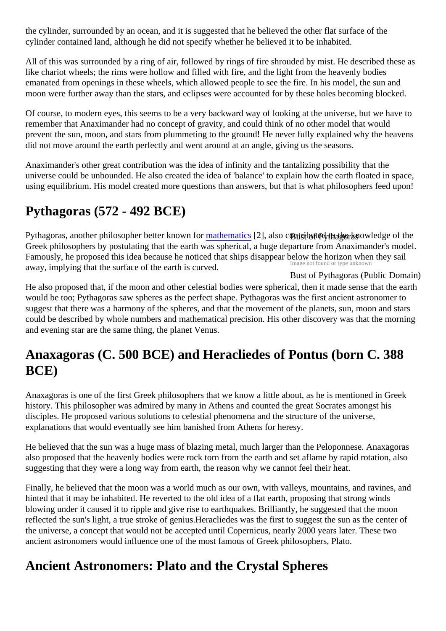the cylinder, surrounded by an ocean, and it is suggested that he believed the other flat surface of the cylinder contained land, although he did not specify whether he believed it to be inhabited.

All of this was surrounded by a ring of air, followed by rings of fire shrouded by mist. He described these a like chariot wheels; the rims were hollow and filled with fire, and the light from the heavenly bodies emanated from openings in these wheels, which allowed people to see the fire. In his model, the sun and moon were further away than the stars, and eclipses were accounted for by these holes becoming blocked

Of course, to modern eyes, this seems to be a very backward way of looking at the universe, but we have remember that Anaximander had no concept of gravity, and could think of no other model that would prevent the sun, moon, and stars from plummeting to the ground! He never fully explained why the heaver did not move around the earth perfectly and went around at an angle, giving us the seasons.

Anaximander's other great contribution was the idea of infinity and the tantalizing possibility that the universe could be unbounded. He also created the idea of 'balance' to explain how the earth floated in space, using equilibrium. His model created more questions than answers, but that is what philosophers feed upon

# Pythagoras (572 - 492 BCE)

Pythagoras, another philosopher better knowmrfothematic\$2], also ontributed to the the knowledge of the Famously, he proposed this idea because he noticed that ships disappear below the horizon when they sail and the state of the control is gun red Bust of Pythagoras (Public Domain) Greek philosophers by postulating that the earth was spherical, a huge departure from Anaximander's model. away, implying that the surface of the earth is curved.

He also proposed that, if the moon and other celestial bodies were spherical, then it made sense that the  $\epsilon$ would be too; Pythagoras saw spheres as the perfect shape. Pythagoras was the first ancient astronomer suggest that there was a harmony of the spheres, and that the movement of the planets, sun, moon and stars could be described by whole numbers and mathematical precision. His other discovery was that the morning and evening star are the same thing, the planet Venus.

#### Anaxagoras (C. 500 BCE) and Heracliedes of Pontus (born C. 388 BCE)

Anaxagoras is one of the first Greek philosophers that we know a little about, as he is mentioned in Greek history. This philosopher was admired by many in Athens and counted the great Socrates amongst his disciples. He proposed various solutions to celestial phenomena and the structure of the universe, explanations that would eventually see him banished from Athens for heresy.

He believed that the sun was a huge mass of blazing metal, much larger than the Peloponnese. Anaxagor also proposed that the heavenly bodies were rock torn from the earth and set aflame by rapid rotation, also suggesting that they were a long way from earth, the reason why we cannot feel their heat.

Finally, he believed that the moon was a world much as our own, with valleys, mountains, and ravines, an hinted that it may be inhabited. He reverted to the old idea of a flat earth, proposing that strong winds blowing under it caused it to ripple and give rise to earthquakes. Brilliantly, he suggested that the moon reflected the sun's light, a true stroke of genius. Heracliedes was the first to suggest the sun as the center the universe, a concept that would not be accepted until Copernicus, nearly 2000 years later. These two ancient astronomers would influence one of the most famous of Greek philosophers, Plato.

#### Ancient Astronomers: Plato and the Crystal Spheres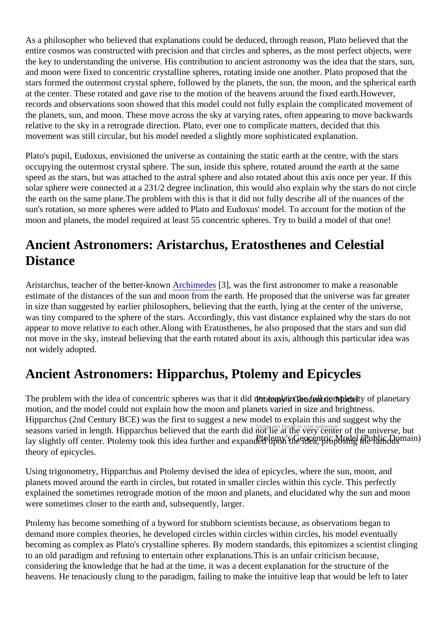As a philosopher who believed that explanations could be deduced, through reason, Plato believed that the entire cosmos was constructed with precision and that circles and spheres, as the most perfect objects, we the key to understanding the universe. His contribution to ancient astronomy was the idea that the stars, s and moon were fixed to concentric crystalline spheres, rotating inside one another. Plato proposed that the stars formed the outermost crystal sphere, followed by the planets, the sun, the moon, and the spherical earth at the center. These rotated and gave rise to the motion of the heavens around the fixed earth.However, records and observations soon showed that this model could not fully explain the complicated movement of the planets, sun, and moon. These move across the sky at varying rates, often appearing to move backwa relative to the sky in a retrograde direction. Plato, ever one to complicate matters, decided that this movement was still circular, but his model needed a slightly more sophisticated explanation.

Plato's pupil, Eudoxus, envisioned the universe as containing the static earth at the centre, with the stars occupying the outermost crystal sphere. The sun, inside this sphere, rotated around the earth at the same speed as the stars, but was attached to the astral sphere and also rotated about this axis once per year. If solar sphere were connected at a 231/2 degree inclination, this would also explain why the stars do not cir the earth on the same plane.The problem with this is that it did not fully describe all of the nuances of the sun's rotation, so more spheres were added to Plato and Eudoxus' model. To account for the motion of the moon and planets, the model required at least 55 concentric spheres. Try to build a model of that one!

### Ancient Astronomers: Aristarchus, Eratosthenes and Celestial **Distance**

Aristarchus, teacher of the better-known chimedes 3], was the first astronomer to make a reasonable estimate of the distances of the sun and moon from the earth. He proposed that the universe was far grea in size than suggested by earlier philosophers, believing that the earth, lying at the center of the universe, was tiny compared to the sphere of the stars. Accordingly, this vast distance explained why the stars do no appear to move relative to each other. Along with Eratosthenes, he also proposed that the stars and sun di not move in the sky, instead believing that the earth rotated about its axis, although this particular idea wa not widely adopted.

#### Ancient Astronomers: Hipparchus, Ptolemy and Epicycles

The problem with the idea of concentric spheres was that i**Ptidenot explaicethe full com**plexity of planetary seasons varied in length. Hipparchus believed that the earth did not lie at the very center of the universe, but lay slightly off center. Ptolemy took this idea further and expanded by Son The Model (Ported Ship in Pramous motion, and the model could not explain how the moon and planets varied in size and brightness. Hipparchus (2nd Century BCE) was the first to suggest a new model to explain this and suggest why the theory of epicycles.

Using trigonometry, Hipparchus and Ptolemy devised the idea of epicycles, where the sun, moon, and planets moved around the earth in circles, but rotated in smaller circles within this cycle. This perfectly explained the sometimes retrograde motion of the moon and planets, and elucidated why the sun and moon were sometimes closer to the earth and, subsequently, larger.

Ptolemy has become something of a byword for stubborn scientists because, as observations began to demand more complex theories, he developed circles within circles within circles, his model eventually becoming as complex as Plato's crystalline spheres. By modern standards, this epitomizes a scientist cling to an old paradigm and refusing to entertain other explanations.This is an unfair criticism because, considering the knowledge that he had at the time, it was a decent explanation for the structure of the heavens. He tenaciously clung to the paradigm, failing to make the intuitive leap that would be left to later